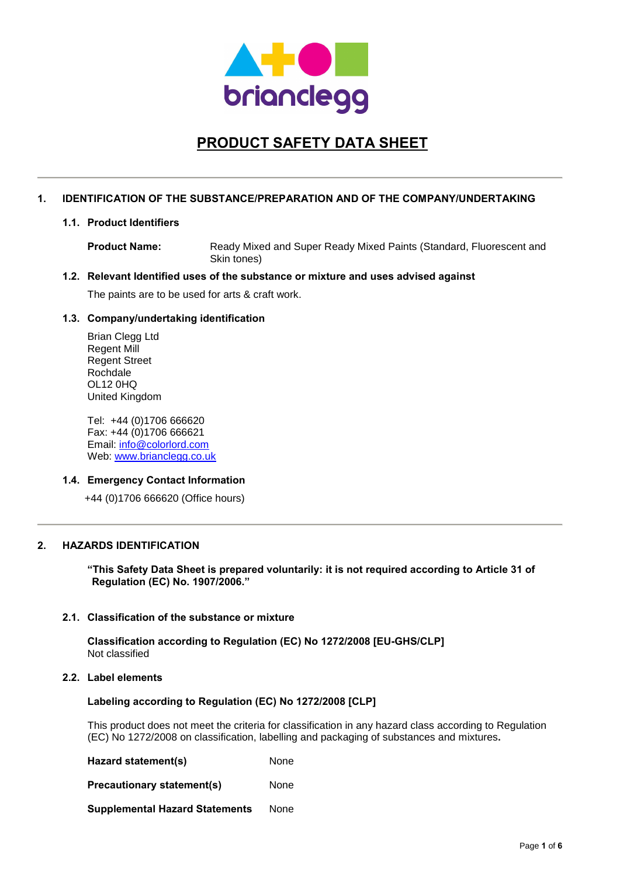

# **PRODUCT SAFETY DATA SHEET**

### **1. IDENTIFICATION OF THE SUBSTANCE/PREPARATION AND OF THE COMPANY/UNDERTAKING**

### **1.1. Product Identifiers**

**Product Name:** Ready Mixed and Super Ready Mixed Paints (Standard, Fluorescent and Skin tones)

# **1.2. Relevant Identified uses of the substance or mixture and uses advised against**

The paints are to be used for arts & craft work.

### **1.3. Company/undertaking identification**

Brian Clegg Ltd Regent Mill Regent Street Rochdale OL12 0HQ United Kingdom

Tel: +44 (0)1706 666620 Fax: +44 (0)1706 666621 Email: info@colorlord.com Web: www.brianclegg.co.uk

### **1.4. Emergency Contact Information**

+44 (0)1706 666620 (Office hours)

### **2. HAZARDS IDENTIFICATION**

**"This Safety Data Sheet is prepared voluntarily: it is not required according to Article 31 of Regulation (EC) No. 1907/2006."**

### **2.1. Classification of the substance or mixture**

**Classification according to Regulation (EC) No 1272/2008 [EU-GHS/CLP]** Not classified

### **2.2. Label elements**

### **Labeling according to Regulation (EC) No 1272/2008 [CLP]**

This product does not meet the criteria for classification in any hazard class according to Regulation (EC) No 1272/2008 on classification, labelling and packaging of substances and mixtures**.**

**Hazard statement(s)** None

**Precautionary statement(s)** None

**Supplemental Hazard Statements** None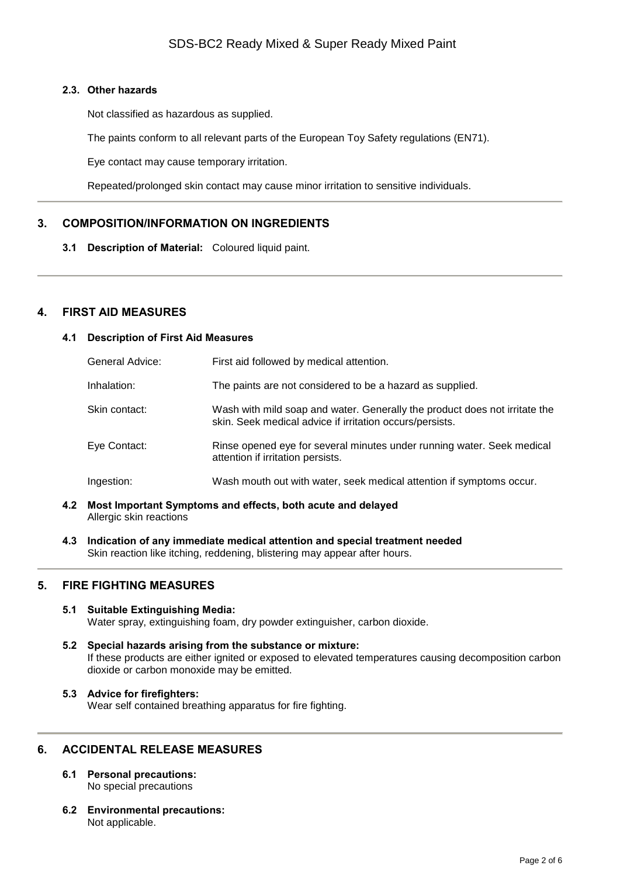### **2.3. Other hazards**

Not classified as hazardous as supplied.

The paints conform to all relevant parts of the European Toy Safety regulations (EN71).

Eye contact may cause temporary irritation.

Repeated/prolonged skin contact may cause minor irritation to sensitive individuals.

# **3. COMPOSITION/INFORMATION ON INGREDIENTS**

**3.1 Description of Material:** Coloured liquid paint.

### **4. FIRST AID MEASURES**

### **4.1 Description of First Aid Measures**

| General Advice: | First aid followed by medical attention.                                                                                               |
|-----------------|----------------------------------------------------------------------------------------------------------------------------------------|
| Inhalation:     | The paints are not considered to be a hazard as supplied.                                                                              |
| Skin contact:   | Wash with mild soap and water. Generally the product does not irritate the<br>skin. Seek medical advice if irritation occurs/persists. |
| Eye Contact:    | Rinse opened eye for several minutes under running water. Seek medical<br>attention if irritation persists.                            |
| Ingestion:      | Wash mouth out with water, seek medical attention if symptoms occur.                                                                   |

- **4.2 Most Important Symptoms and effects, both acute and delayed** Allergic skin reactions
- **4.3 Indication of any immediate medical attention and special treatment needed** Skin reaction like itching, reddening, blistering may appear after hours.

# **5. FIRE FIGHTING MEASURES**

### **5.1 Suitable Extinguishing Media:** Water spray, extinguishing foam, dry powder extinguisher, carbon dioxide.

- **5.2 Special hazards arising from the substance or mixture:** If these products are either ignited or exposed to elevated temperatures causing decomposition carbon dioxide or carbon monoxide may be emitted.
- **5.3 Advice for firefighters:** Wear self contained breathing apparatus for fire fighting.

# **6. ACCIDENTAL RELEASE MEASURES**

- **6.1 Personal precautions:** No special precautions
- **6.2 Environmental precautions:** Not applicable.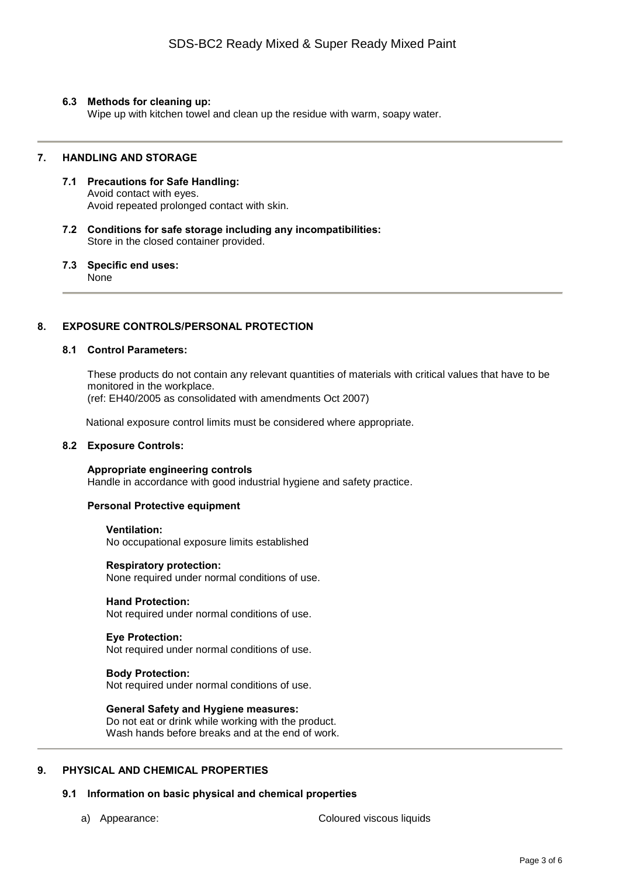### **6.3 Methods for cleaning up:**

Wipe up with kitchen towel and clean up the residue with warm, soapy water.

### **7. HANDLING AND STORAGE**

- **7.1 Precautions for Safe Handling:** Avoid contact with eyes. Avoid repeated prolonged contact with skin.
- **7.2 Conditions for safe storage including any incompatibilities:** Store in the closed container provided.

#### **7.3 Specific end uses:** None

### **8. EXPOSURE CONTROLS/PERSONAL PROTECTION**

### **8.1 Control Parameters:**

These products do not contain any relevant quantities of materials with critical values that have to be monitored in the workplace. (ref: EH40/2005 as consolidated with amendments Oct 2007)

National exposure control limits must be considered where appropriate.

### **8.2 Exposure Controls:**

**Appropriate engineering controls** Handle in accordance with good industrial hygiene and safety practice.

### **Personal Protective equipment**

**Ventilation:** No occupational exposure limits established

**Respiratory protection:** None required under normal conditions of use.

**Hand Protection:** Not required under normal conditions of use.

**Eye Protection:** Not required under normal conditions of use.

### **Body Protection:**

Not required under normal conditions of use.

**General Safety and Hygiene measures:** Do not eat or drink while working with the product. Wash hands before breaks and at the end of work.

### **9. PHYSICAL AND CHEMICAL PROPERTIES**

### **9.1 Information on basic physical and chemical properties**

a) Appearance: Coloured viscous liquids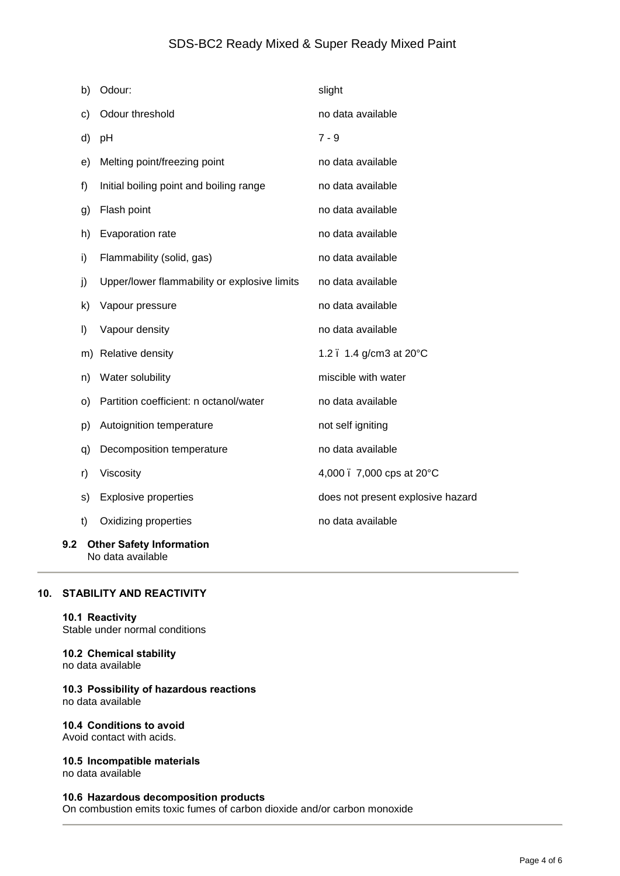# SDS-BC2 Ready Mixed & Super Ready Mixed Paint

|     | b) | Odour:                                       | slight                            |
|-----|----|----------------------------------------------|-----------------------------------|
|     | c) | Odour threshold                              | no data available                 |
|     | d) | pH                                           | $7 - 9$                           |
|     | e) | Melting point/freezing point                 | no data available                 |
|     | f) | Initial boiling point and boiling range      | no data available                 |
|     | g) | Flash point                                  | no data available                 |
|     | h) | Evaporation rate                             | no data available                 |
|     | i) | Flammability (solid, gas)                    | no data available                 |
|     | j) | Upper/lower flammability or explosive limits | no data available                 |
|     | k) | Vapour pressure                              | no data available                 |
|     | I) | Vapour density                               | no data available                 |
|     | m) | Relative density                             | 1.2. 1.4 g/cm3 at 20°C            |
|     | n) | Water solubility                             | miscible with water               |
|     | o) | Partition coefficient: n octanol/water       | no data available                 |
|     | p) | Autoignition temperature                     | not self igniting                 |
|     | q) | Decomposition temperature                    | no data available                 |
|     | r) | Viscosity                                    | 4,000 . 7,000 cps at 20°C         |
|     | s) | <b>Explosive properties</b>                  | does not present explosive hazard |
|     | t) | Oxidizing properties                         | no data available                 |
| 9.2 |    | <b>Other Safety Information</b>              |                                   |

### **10. STABILITY AND REACTIVITY**

No data available

### **10.1 Reactivity**

Stable under normal conditions

# **10.2 Chemical stability**

no data available

### **10.3 Possibility of hazardous reactions** no data available

### **10.4 Conditions to avoid**

Avoid contact with acids.

## **10.5 Incompatible materials**

no data available

### **10.6 Hazardous decomposition products**

On combustion emits toxic fumes of carbon dioxide and/or carbon monoxide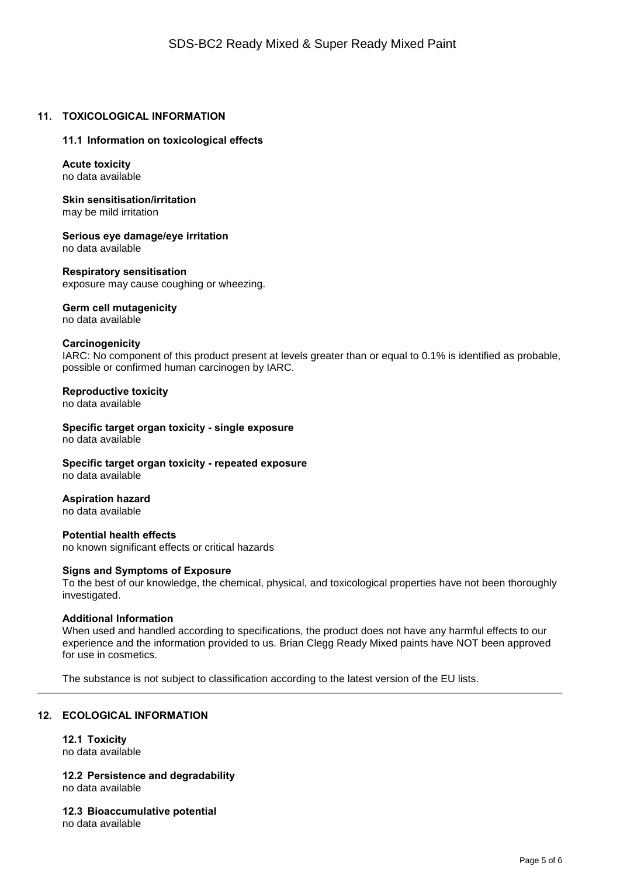### **11. TOXICOLOGICAL INFORMATION**

### **11.1 Information on toxicological effects**

**Acute toxicity** no data available

**Skin sensitisation/irritation** may be mild irritation

**Serious eye damage/eye irritation** no data available

**Respiratory sensitisation**

exposure may cause coughing or wheezing.

**Germ cell mutagenicity**

no data available

### **Carcinogenicity**

IARC: No component of this product present at levels greater than or equal to 0.1% is identified as probable, possible or confirmed human carcinogen by IARC.

### **Reproductive toxicity**

no data available

**Specific target organ toxicity - single exposure** no data available

**Specific target organ toxicity - repeated exposure** no data available

### **Aspiration hazard**

no data available

**Potential health effects** no known significant effects or critical hazards

### **Signs and Symptoms of Exposure**

To the best of our knowledge, the chemical, physical, and toxicological properties have not been thoroughly investigated.

### **Additional Information**

When used and handled according to specifications, the product does not have any harmful effects to our experience and the information provided to us. Brian Clegg Ready Mixed paints have NOT been approved for use in cosmetics.

The substance is not subject to classification according to the latest version of the EU lists.

### **12. ECOLOGICAL INFORMATION**

**12.1 Toxicity** no data available

**12.2 Persistence and degradability** no data available

**12.3 Bioaccumulative potential** no data available